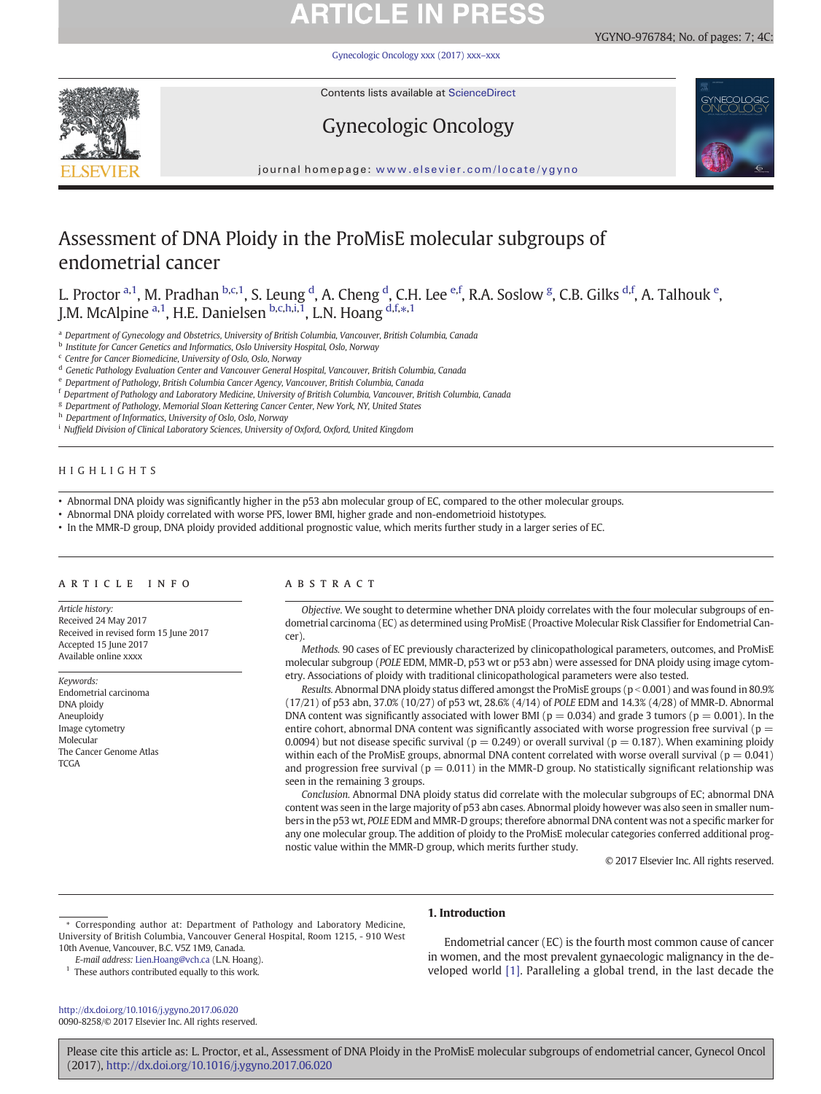# **ARTICLE IN PRESS**

[Gynecologic Oncology xxx \(2017\) xxx](http://dx.doi.org/10.1016/j.ygyno.2017.06.020)–xxx



Contents lists available at ScienceDirect

## Gynecologic Oncology





journal homepage: <www.elsevier.com/locate/ygyno>

## Assessment of DNA Ploidy in the ProMisE molecular subgroups of endometrial cancer

L. Proctor <sup>a,1</sup>, M. Pradhan <sup>b,c,1</sup>, S. Leung <sup>d</sup>, A. Cheng <sup>d</sup>, C.H. Lee <sup>e,f</sup>, R.A. Soslow <sup>g</sup>, C.B. Gilks <sup>d,f</sup>, A. Talhouk <sup>e</sup>, J.M. McAlpine <sup>a,1</sup>, H.E. Danielsen <sup>b,c,h,i,1</sup>, L.N. Hoang <sup>d,f,\*,1</sup>

a Department of Gynecology and Obstetrics, University of British Columbia, Vancouver, British Columbia, Canada

**b** Institute for Cancer Genetics and Informatics, Oslo University Hospital, Oslo, Norway

<sup>c</sup> Centre for Cancer Biomedicine, University of Oslo, Oslo, Norway

<sup>d</sup> Genetic Pathology Evaluation Center and Vancouver General Hospital, Vancouver, British Columbia, Canada

<sup>e</sup> Department of Pathology, British Columbia Cancer Agency, Vancouver, British Columbia, Canada

<sup>f</sup> Department of Pathology and Laboratory Medicine, University of British Columbia, Vancouver, British Columbia, Canada

<sup>g</sup> Department of Pathology, Memorial Sloan Kettering Cancer Center, New York, NY, United States

h Department of Informatics, University of Oslo, Oslo, Norway

<sup>i</sup> Nuffield Division of Clinical Laboratory Sciences, University of Oxford, Oxford, United Kingdom

### HIGHLIGHTS

• Abnormal DNA ploidy was significantly higher in the p53 abn molecular group of EC, compared to the other molecular groups.

• Abnormal DNA ploidy correlated with worse PFS, lower BMI, higher grade and non-endometrioid histotypes.

• In the MMR-D group, DNA ploidy provided additional prognostic value, which merits further study in a larger series of EC.

### article info abstract

Article history: Received 24 May 2017 Received in revised form 15 June 2017 Accepted 15 June 2017 Available online xxxx

Keywords: Endometrial carcinoma DNA ploidy Aneuploidy Image cytometry Molecular The Cancer Genome Atlas **TCGA** 

Objective. We sought to determine whether DNA ploidy correlates with the four molecular subgroups of endometrial carcinoma (EC) as determined using ProMisE (Proactive Molecular Risk Classifier for Endometrial Cancer).

Methods. 90 cases of EC previously characterized by clinicopathological parameters, outcomes, and ProMisE molecular subgroup (POLE EDM, MMR-D, p53 wt or p53 abn) were assessed for DNA ploidy using image cytometry. Associations of ploidy with traditional clinicopathological parameters were also tested.

Results. Abnormal DNA ploidy status differed amongst the ProMisE groups ( $p < 0.001$ ) and was found in 80.9% (17/21) of p53 abn, 37.0% (10/27) of p53 wt, 28.6% (4/14) of POLE EDM and 14.3% (4/28) of MMR-D. Abnormal DNA content was significantly associated with lower BMI ( $p = 0.034$ ) and grade 3 tumors ( $p = 0.001$ ). In the entire cohort, abnormal DNA content was significantly associated with worse progression free survival ( $p =$ 0.0094) but not disease specific survival ( $p = 0.249$ ) or overall survival ( $p = 0.187$ ). When examining ploidy within each of the ProMisE groups, abnormal DNA content correlated with worse overall survival ( $p = 0.041$ ) and progression free survival ( $p = 0.011$ ) in the MMR-D group. No statistically significant relationship was seen in the remaining 3 groups.

Conclusion. Abnormal DNA ploidy status did correlate with the molecular subgroups of EC; abnormal DNA content was seen in the large majority of p53 abn cases. Abnormal ploidy however was also seen in smaller numbers in the p53 wt, POLE EDM and MMR-D groups; therefore abnormal DNA content was not a specific marker for any one molecular group. The addition of ploidy to the ProMisE molecular categories conferred additional prognostic value within the MMR-D group, which merits further study.

© 2017 Elsevier Inc. All rights reserved.

⁎ Corresponding author at: Department of Pathology and Laboratory Medicine, University of British Columbia, Vancouver General Hospital, Room 1215, - 910 West 10th Avenue, Vancouver, B.C. V5Z 1M9, Canada.

E-mail address: [Lien.Hoang@vch.ca](mailto:Lien.Hoang@vch.ca) (L.N. Hoang).

 $^{\rm 1}$  These authors contributed equally to this work.

<http://dx.doi.org/10.1016/j.ygyno.2017.06.020> 0090-8258/© 2017 Elsevier Inc. All rights reserved.

### 1. Introduction

Endometrial cancer (EC) is the fourth most common cause of cancer in women, and the most prevalent gynaecologic malignancy in the developed world [\[1\]](#page-5-0). Paralleling a global trend, in the last decade the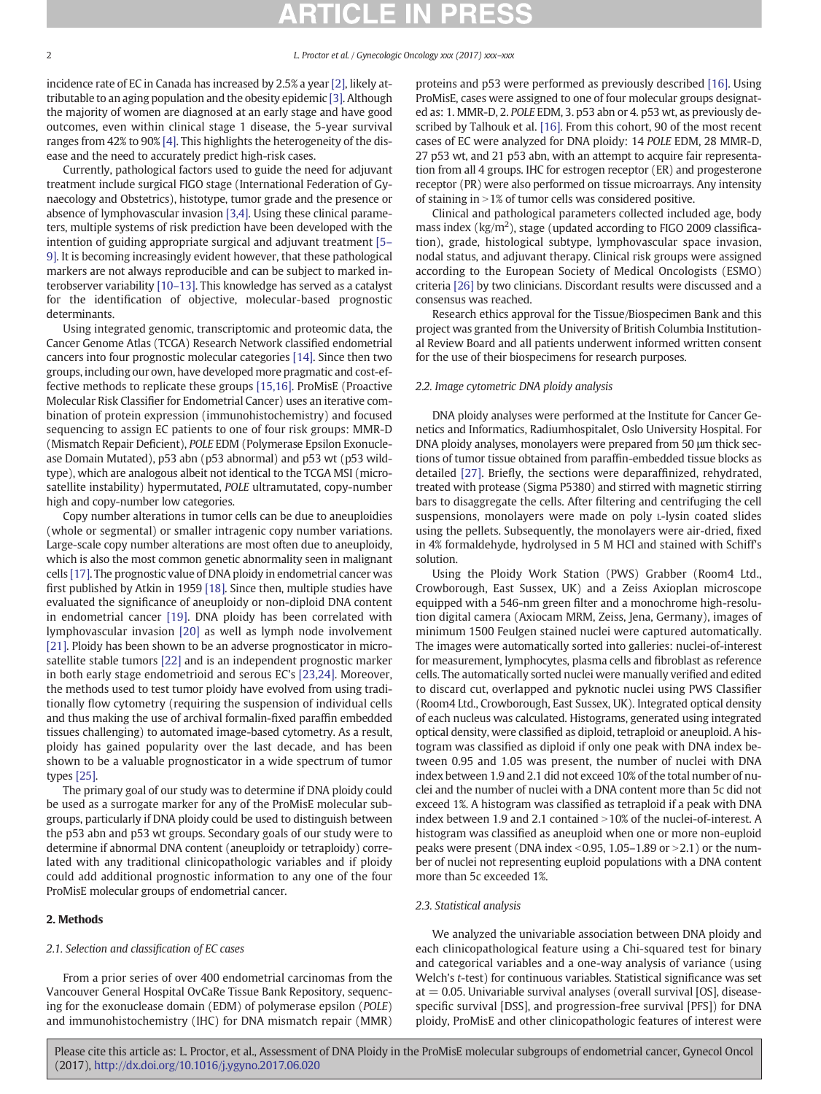incidence rate of EC in Canada has increased by 2.5% a year [\[2\]](#page-5-0), likely attributable to an aging population and the obesity epidemic [\[3\].](#page-5-0) Although the majority of women are diagnosed at an early stage and have good outcomes, even within clinical stage 1 disease, the 5-year survival ranges from 42% to 90% [\[4\].](#page-5-0) This highlights the heterogeneity of the disease and the need to accurately predict high-risk cases.

Currently, pathological factors used to guide the need for adjuvant treatment include surgical FIGO stage (International Federation of Gynaecology and Obstetrics), histotype, tumor grade and the presence or absence of lymphovascular invasion [\[3,4\]](#page-5-0). Using these clinical parameters, multiple systems of risk prediction have been developed with the intention of guiding appropriate surgical and adjuvant treatment [\[5](#page-5-0)– [9\].](#page-5-0) It is becoming increasingly evident however, that these pathological markers are not always reproducible and can be subject to marked interobserver variability [10–[13\].](#page-5-0) This knowledge has served as a catalyst for the identification of objective, molecular-based prognostic determinants.

Using integrated genomic, transcriptomic and proteomic data, the Cancer Genome Atlas (TCGA) Research Network classified endometrial cancers into four prognostic molecular categories [\[14\]](#page-5-0). Since then two groups, including our own, have developed more pragmatic and cost-effective methods to replicate these groups [\[15,16\].](#page-5-0) ProMisE (Proactive Molecular Risk Classifier for Endometrial Cancer) uses an iterative combination of protein expression (immunohistochemistry) and focused sequencing to assign EC patients to one of four risk groups: MMR-D (Mismatch Repair Deficient), POLE EDM (Polymerase Epsilon Exonuclease Domain Mutated), p53 abn (p53 abnormal) and p53 wt (p53 wildtype), which are analogous albeit not identical to the TCGA MSI (microsatellite instability) hypermutated, POLE ultramutated, copy-number high and copy-number low categories.

Copy number alterations in tumor cells can be due to aneuploidies (whole or segmental) or smaller intragenic copy number variations. Large-scale copy number alterations are most often due to aneuploidy, which is also the most common genetic abnormality seen in malignant cells [\[17\]](#page-5-0). The prognostic value of DNA ploidy in endometrial cancer was first published by Atkin in 1959 [\[18\]](#page-5-0). Since then, multiple studies have evaluated the significance of aneuploidy or non-diploid DNA content in endometrial cancer [\[19\]](#page-5-0). DNA ploidy has been correlated with lymphovascular invasion [\[20\]](#page-5-0) as well as lymph node involvement [\[21\]](#page-5-0). Ploidy has been shown to be an adverse prognosticator in microsatellite stable tumors [\[22\]](#page-5-0) and is an independent prognostic marker in both early stage endometrioid and serous EC's [\[23,24\].](#page-5-0) Moreover, the methods used to test tumor ploidy have evolved from using traditionally flow cytometry (requiring the suspension of individual cells and thus making the use of archival formalin-fixed paraffin embedded tissues challenging) to automated image-based cytometry. As a result, ploidy has gained popularity over the last decade, and has been shown to be a valuable prognosticator in a wide spectrum of tumor types [\[25\]](#page-6-0).

The primary goal of our study was to determine if DNA ploidy could be used as a surrogate marker for any of the ProMisE molecular subgroups, particularly if DNA ploidy could be used to distinguish between the p53 abn and p53 wt groups. Secondary goals of our study were to determine if abnormal DNA content (aneuploidy or tetraploidy) correlated with any traditional clinicopathologic variables and if ploidy could add additional prognostic information to any one of the four ProMisE molecular groups of endometrial cancer.

### 2. Methods

### 2.1. Selection and classification of EC cases

From a prior series of over 400 endometrial carcinomas from the Vancouver General Hospital OvCaRe Tissue Bank Repository, sequencing for the exonuclease domain (EDM) of polymerase epsilon (POLE) and immunohistochemistry (IHC) for DNA mismatch repair (MMR)

proteins and p53 were performed as previously described [\[16\]](#page-5-0). Using ProMisE, cases were assigned to one of four molecular groups designated as: 1. MMR-D, 2. POLE EDM, 3. p53 abn or 4. p53 wt, as previously described by Talhouk et al. [\[16\].](#page-5-0) From this cohort, 90 of the most recent cases of EC were analyzed for DNA ploidy: 14 POLE EDM, 28 MMR-D, 27 p53 wt, and 21 p53 abn, with an attempt to acquire fair representation from all 4 groups. IHC for estrogen receptor (ER) and progesterone receptor (PR) were also performed on tissue microarrays. Any intensity of staining in  $>1%$  of tumor cells was considered positive.

Clinical and pathological parameters collected included age, body mass index  $(kg/m^2)$ , stage (updated according to FIGO 2009 classification), grade, histological subtype, lymphovascular space invasion, nodal status, and adjuvant therapy. Clinical risk groups were assigned according to the European Society of Medical Oncologists (ESMO) criteria [\[26\]](#page-6-0) by two clinicians. Discordant results were discussed and a consensus was reached.

Research ethics approval for the Tissue/Biospecimen Bank and this project was granted from the University of British Columbia Institutional Review Board and all patients underwent informed written consent for the use of their biospecimens for research purposes.

### 2.2. Image cytometric DNA ploidy analysis

DNA ploidy analyses were performed at the Institute for Cancer Genetics and Informatics, Radiumhospitalet, Oslo University Hospital. For DNA ploidy analyses, monolayers were prepared from 50 μm thick sections of tumor tissue obtained from paraffin-embedded tissue blocks as detailed [\[27\]](#page-6-0). Briefly, the sections were deparaffinized, rehydrated, treated with protease (Sigma P5380) and stirred with magnetic stirring bars to disaggregate the cells. After filtering and centrifuging the cell suspensions, monolayers were made on poly L-lysin coated slides using the pellets. Subsequently, the monolayers were air-dried, fixed in 4% formaldehyde, hydrolysed in 5 M HCl and stained with Schiff's solution.

Using the Ploidy Work Station (PWS) Grabber (Room4 Ltd., Crowborough, East Sussex, UK) and a Zeiss Axioplan microscope equipped with a 546-nm green filter and a monochrome high-resolution digital camera (Axiocam MRM, Zeiss, Jena, Germany), images of minimum 1500 Feulgen stained nuclei were captured automatically. The images were automatically sorted into galleries: nuclei-of-interest for measurement, lymphocytes, plasma cells and fibroblast as reference cells. The automatically sorted nuclei were manually verified and edited to discard cut, overlapped and pyknotic nuclei using PWS Classifier (Room4 Ltd., Crowborough, East Sussex, UK). Integrated optical density of each nucleus was calculated. Histograms, generated using integrated optical density, were classified as diploid, tetraploid or aneuploid. A histogram was classified as diploid if only one peak with DNA index between 0.95 and 1.05 was present, the number of nuclei with DNA index between 1.9 and 2.1 did not exceed 10% of the total number of nuclei and the number of nuclei with a DNA content more than 5c did not exceed 1%. A histogram was classified as tetraploid if a peak with DNA index between 1.9 and 2.1 contained  $>10\%$  of the nuclei-of-interest. A histogram was classified as aneuploid when one or more non-euploid peaks were present (DNA index  $\leq$ 0.95, 1.05–1.89 or  $\geq$ 2.1) or the number of nuclei not representing euploid populations with a DNA content more than 5c exceeded 1%.

### 2.3. Statistical analysis

We analyzed the univariable association between DNA ploidy and each clinicopathological feature using a Chi-squared test for binary and categorical variables and a one-way analysis of variance (using Welch's t-test) for continuous variables. Statistical significance was set  $at = 0.05$ . Univariable survival analyses (overall survival  $[OS]$ , diseasespecific survival [DSS], and progression-free survival [PFS]) for DNA ploidy, ProMisE and other clinicopathologic features of interest were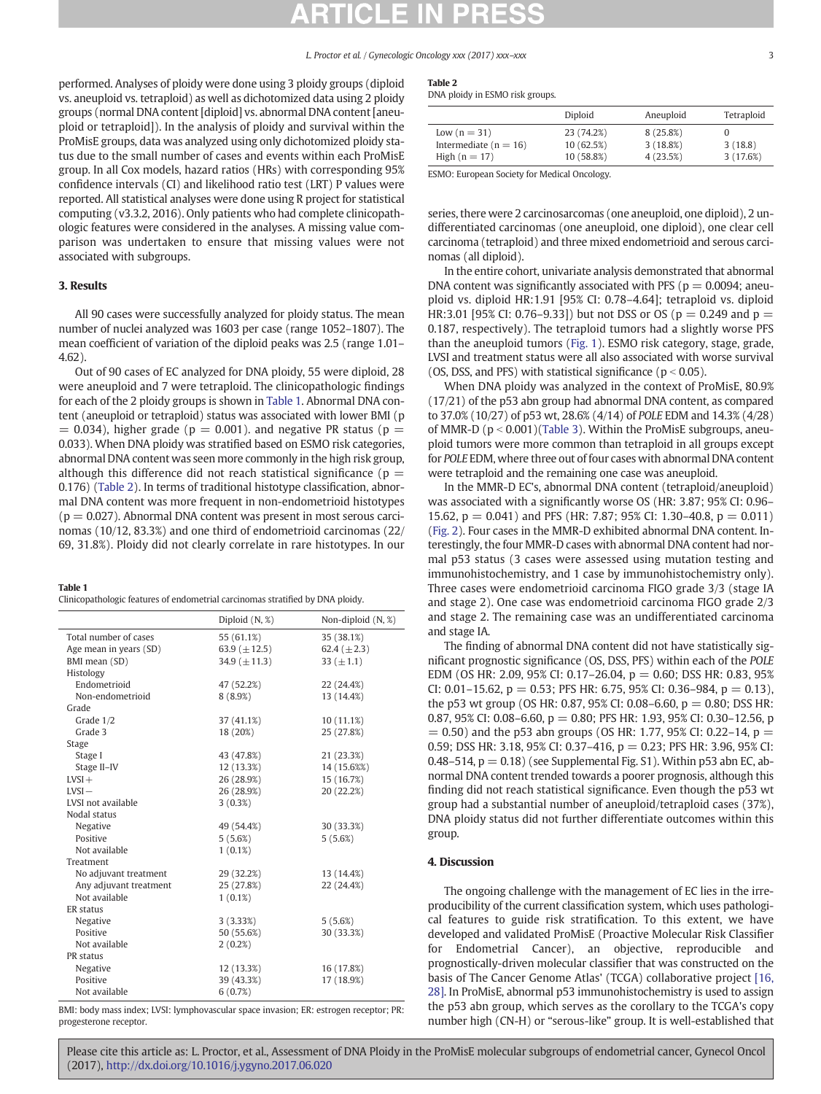performed. Analyses of ploidy were done using 3 ploidy groups (diploid vs. aneuploid vs. tetraploid) as well as dichotomized data using 2 ploidy groups (normal DNA content [diploid] vs. abnormal DNA content [aneuploid or tetraploid]). In the analysis of ploidy and survival within the ProMisE groups, data was analyzed using only dichotomized ploidy status due to the small number of cases and events within each ProMisE group. In all Cox models, hazard ratios (HRs) with corresponding 95% confidence intervals (CI) and likelihood ratio test (LRT) P values were reported. All statistical analyses were done using R project for statistical computing (v3.3.2, 2016). Only patients who had complete clinicopathologic features were considered in the analyses. A missing value comparison was undertaken to ensure that missing values were not associated with subgroups.

### 3. Results

All 90 cases were successfully analyzed for ploidy status. The mean number of nuclei analyzed was 1603 per case (range 1052–1807). The mean coefficient of variation of the diploid peaks was 2.5 (range 1.01– 4.62).

Out of 90 cases of EC analyzed for DNA ploidy, 55 were diploid, 28 were aneuploid and 7 were tetraploid. The clinicopathologic findings for each of the 2 ploidy groups is shown in Table 1. Abnormal DNA content (aneuploid or tetraploid) status was associated with lower BMI (p  $= 0.034$ ), higher grade (p  $= 0.001$ ), and negative PR status (p  $=$ 0.033). When DNA ploidy was stratified based on ESMO risk categories, abnormal DNA content was seen more commonly in the high risk group, although this difference did not reach statistical significance ( $p =$ 0.176) (Table 2). In terms of traditional histotype classification, abnormal DNA content was more frequent in non-endometrioid histotypes  $(p = 0.027)$ . Abnormal DNA content was present in most serous carcinomas (10/12, 83.3%) and one third of endometrioid carcinomas (22/ 69, 31.8%). Ploidy did not clearly correlate in rare histotypes. In our

### Table 1

Clinicopathologic features of endometrial carcinomas stratified by DNA ploidy.

|                        | Diploid (N, %)     | Non-diploid $(N, %)$ |
|------------------------|--------------------|----------------------|
| Total number of cases  | 55 (61.1%)         | 35 (38.1%)           |
| Age mean in years (SD) | 63.9 ( $\pm$ 12.5) | 62.4 $(\pm 2.3)$     |
| BMI mean (SD)          | 34.9 $(\pm 11.3)$  | 33 ( $\pm$ 1.1)      |
| Histology              |                    |                      |
| Endometrioid           | 47 (52.2%)         | 22 (24.4%)           |
| Non-endometrioid       | 8(8.9%)            | 13 (14.4%)           |
| Grade                  |                    |                      |
| Grade 1/2              | 37 (41.1%)         | 10(11.1%)            |
| Grade 3                | 18 (20%)           | 25 (27.8%)           |
| Stage                  |                    |                      |
| Stage I                | 43 (47.8%)         | 21 (23.3%)           |
| Stage II-IV            | 12 (13.3%)         | 14 (15.6%%)          |
| $LVSI +$               | 26 (28.9%)         | 15 (16.7%)           |
| $LVSI -$               | 26 (28.9%)         | 20 (22.2%)           |
| LVSI not available     | 3(0.3%)            |                      |
| Nodal status           |                    |                      |
| Negative               | 49 (54.4%)         | 30 (33.3%)           |
| Positive               | 5(5.6%)            | 5(5.6%)              |
| Not available          | $1(0.1\%)$         |                      |
| Treatment              |                    |                      |
| No adjuvant treatment  | 29 (32.2%)         | 13 (14.4%)           |
| Any adjuvant treatment | 25 (27.8%)         | 22 (24.4%)           |
| Not available          | $1(0.1\%)$         |                      |
| ER status              |                    |                      |
| Negative               | 3(3.33%)           | 5(5.6%)              |
| Positive               | 50 (55.6%)         | 30 (33.3%)           |
| Not available          | 2(0.2%)            |                      |
| PR status              |                    |                      |
| Negative               | 12 (13.3%)         | 16 (17.8%)           |
| Positive               | 39 (43.3%)         | 17 (18.9%)           |
| Not available          | 6(0.7%)            |                      |

BMI: body mass index; LVSI: lymphovascular space invasion; ER: estrogen receptor; PR: progesterone receptor.

| ---- |  |  |
|------|--|--|
|      |  |  |

DNA ploidy in ESMO risk groups.

|                           | Diploid    | Aneuploid | Tetraploid |
|---------------------------|------------|-----------|------------|
| Low $(n=31)$              | 23 (74.2%) | 8(25.8%)  |            |
| Intermediate ( $n = 16$ ) | 10 (62.5%) | 3(18.8%)  | 3(18.8)    |
| High $(n = 17)$           | 10 (58.8%) | 4(23.5%)  | 3(17.6%)   |

ESMO: European Society for Medical Oncology.

series, there were 2 carcinosarcomas (one aneuploid, one diploid), 2 undifferentiated carcinomas (one aneuploid, one diploid), one clear cell carcinoma (tetraploid) and three mixed endometrioid and serous carcinomas (all diploid).

In the entire cohort, univariate analysis demonstrated that abnormal DNA content was significantly associated with PFS ( $p = 0.0094$ ; aneuploid vs. diploid HR:1.91 [95% CI: 0.78–4.64]; tetraploid vs. diploid HR:3.01 [95% CI: 0.76–9.33]) but not DSS or OS ( $p = 0.249$  and  $p =$ 0.187, respectively). The tetraploid tumors had a slightly worse PFS than the aneuploid tumors [\(Fig. 1\)](#page-3-0). ESMO risk category, stage, grade, LVSI and treatment status were all also associated with worse survival (OS, DSS, and PFS) with statistical significance ( $p < 0.05$ ).

When DNA ploidy was analyzed in the context of ProMisE, 80.9% (17/21) of the p53 abn group had abnormal DNA content, as compared to 37.0% (10/27) of p53 wt, 28.6% (4/14) of POLE EDM and 14.3% (4/28) of MMR-D ( $p < 0.001$ )([Table 3\)](#page-3-0). Within the ProMisE subgroups, aneuploid tumors were more common than tetraploid in all groups except for POLE EDM, where three out of four cases with abnormal DNA content were tetraploid and the remaining one case was aneuploid.

In the MMR-D EC's, abnormal DNA content (tetraploid/aneuploid) was associated with a significantly worse OS (HR: 3.87; 95% CI: 0.96– 15.62,  $p = 0.041$ ) and PFS (HR: 7.87; 95% CI: 1.30–40.8,  $p = 0.011$ ) [\(Fig. 2\)](#page-4-0). Four cases in the MMR-D exhibited abnormal DNA content. Interestingly, the four MMR-D cases with abnormal DNA content had normal p53 status (3 cases were assessed using mutation testing and immunohistochemistry, and 1 case by immunohistochemistry only). Three cases were endometrioid carcinoma FIGO grade 3/3 (stage IA and stage 2). One case was endometrioid carcinoma FIGO grade 2/3 and stage 2. The remaining case was an undifferentiated carcinoma and stage IA.

The finding of abnormal DNA content did not have statistically significant prognostic significance (OS, DSS, PFS) within each of the POLE EDM (OS HR: 2.09, 95% CI: 0.17–26.04,  $p = 0.60$ ; DSS HR: 0.83, 95% CI: 0.01–15.62,  $p = 0.53$ ; PFS HR: 6.75, 95% CI: 0.36–984,  $p = 0.13$ ), the p53 wt group (OS HR; 0.87, 95% CI; 0.08–6.60,  $p = 0.80$ ; DSS HR; 0.87, 95% CI: 0.08–6.60,  $p = 0.80$ ; PFS HR: 1.93, 95% CI: 0.30–12.56, p  $= 0.50$ ) and the p53 abn groups (OS HR: 1.77, 95% CI: 0.22–14, p = 0.59; DSS HR: 3.18, 95% CI: 0.37–416,  $p = 0.23$ ; PFS HR: 3.96, 95% CI: 0.48–514,  $p = 0.18$ ) (see Supplemental Fig. S1). Within p53 abn EC, abnormal DNA content trended towards a poorer prognosis, although this finding did not reach statistical significance. Even though the p53 wt group had a substantial number of aneuploid/tetraploid cases (37%), DNA ploidy status did not further differentiate outcomes within this group.

### 4. Discussion

The ongoing challenge with the management of EC lies in the irreproducibility of the current classification system, which uses pathological features to guide risk stratification. To this extent, we have developed and validated ProMisE (Proactive Molecular Risk Classifier for Endometrial Cancer), an objective, reproducible and prognostically-driven molecular classifier that was constructed on the basis of The Cancer Genome Atlas' (TCGA) collaborative project [\[16,](#page-5-0) [28\]](#page-5-0). In ProMisE, abnormal p53 immunohistochemistry is used to assign the p53 abn group, which serves as the corollary to the TCGA's copy number high (CN-H) or "serous-like" group. It is well-established that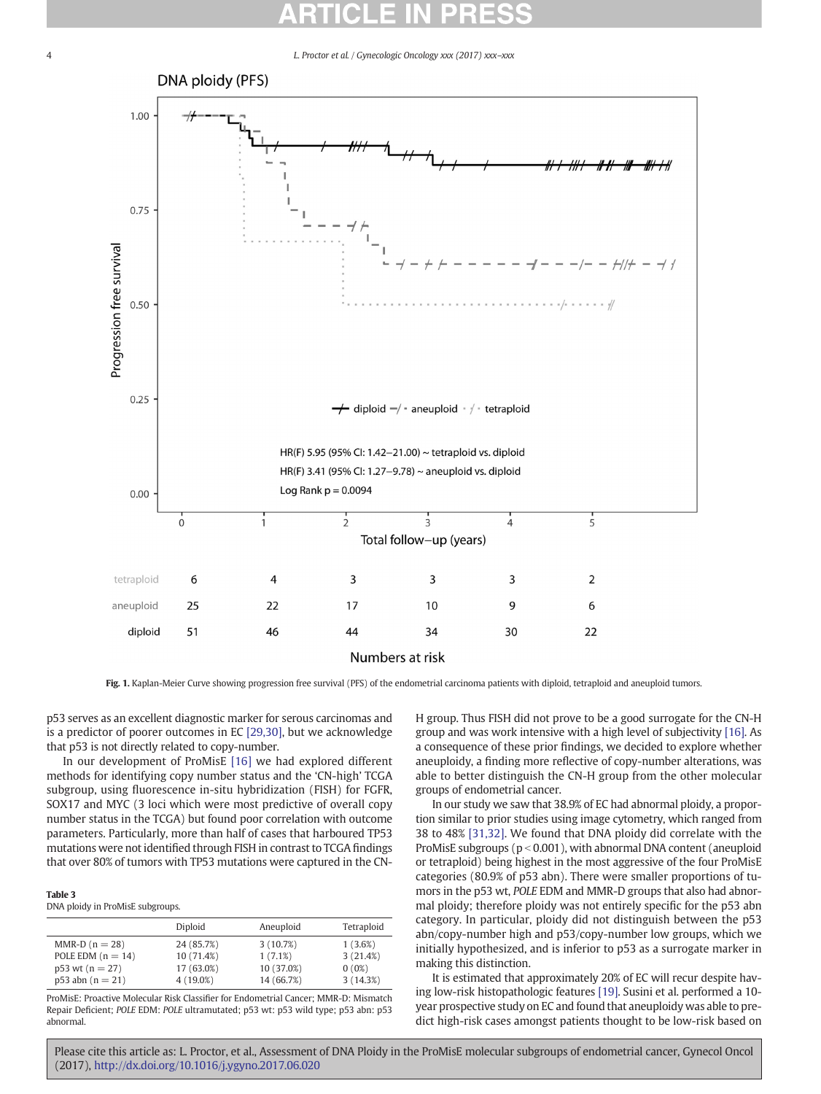<span id="page-3-0"></span>

Fig. 1. Kaplan-Meier Curve showing progression free survival (PFS) of the endometrial carcinoma patients with diploid, tetraploid and aneuploid tumors.

p53 serves as an excellent diagnostic marker for serous carcinomas and is a predictor of poorer outcomes in EC [\[29,30\],](#page-6-0) but we acknowledge that p53 is not directly related to copy-number.

In our development of ProMisE [\[16\]](#page-5-0) we had explored different methods for identifying copy number status and the 'CN-high' TCGA subgroup, using fluorescence in-situ hybridization (FISH) for FGFR, SOX17 and MYC (3 loci which were most predictive of overall copy number status in the TCGA) but found poor correlation with outcome parameters. Particularly, more than half of cases that harboured TP53 mutations were not identified through FISH in contrast to TCGA findings that over 80% of tumors with TP53 mutations were captured in the CN-

### Table 3

DNA ploidy in ProMisE subgroups.

|                       | Diploid     | Aneuploid  | Tetraploid |
|-----------------------|-------------|------------|------------|
| $MMR-D (n = 28)$      | 24 (85.7%)  | 3(10.7%)   | 1(3.6%)    |
| POLE EDM $(n = 14)$   | 10 (71.4%)  | 1(7.1%)    | 3(21.4%)   |
| $p53$ wt ( $n = 27$ ) | 17 (63.0%)  | 10 (37.0%) | $0(0\%)$   |
| $p53$ abn (n = 21)    | $4(19.0\%)$ | 14 (66.7%) | 3(14.3%)   |

ProMisE: Proactive Molecular Risk Classifier for Endometrial Cancer; MMR-D: Mismatch Repair Deficient; POLE EDM: POLE ultramutated; p53 wt: p53 wild type; p53 abn: p53 abnormal.

H group. Thus FISH did not prove to be a good surrogate for the CN-H group and was work intensive with a high level of subjectivity [\[16\]](#page-5-0). As a consequence of these prior findings, we decided to explore whether aneuploidy, a finding more reflective of copy-number alterations, was able to better distinguish the CN-H group from the other molecular groups of endometrial cancer.

In our study we saw that 38.9% of EC had abnormal ploidy, a proportion similar to prior studies using image cytometry, which ranged from 38 to 48% [\[31,32\]](#page-6-0). We found that DNA ploidy did correlate with the ProMisE subgroups ( $p < 0.001$ ), with abnormal DNA content (aneuploid or tetraploid) being highest in the most aggressive of the four ProMisE categories (80.9% of p53 abn). There were smaller proportions of tumors in the p53 wt, POLE EDM and MMR-D groups that also had abnormal ploidy; therefore ploidy was not entirely specific for the p53 abn category. In particular, ploidy did not distinguish between the p53 abn/copy-number high and p53/copy-number low groups, which we initially hypothesized, and is inferior to p53 as a surrogate marker in making this distinction.

It is estimated that approximately 20% of EC will recur despite having low-risk histopathologic features [\[19\]](#page-5-0). Susini et al. performed a 10 year prospective study on EC and found that aneuploidy was able to predict high-risk cases amongst patients thought to be low-risk based on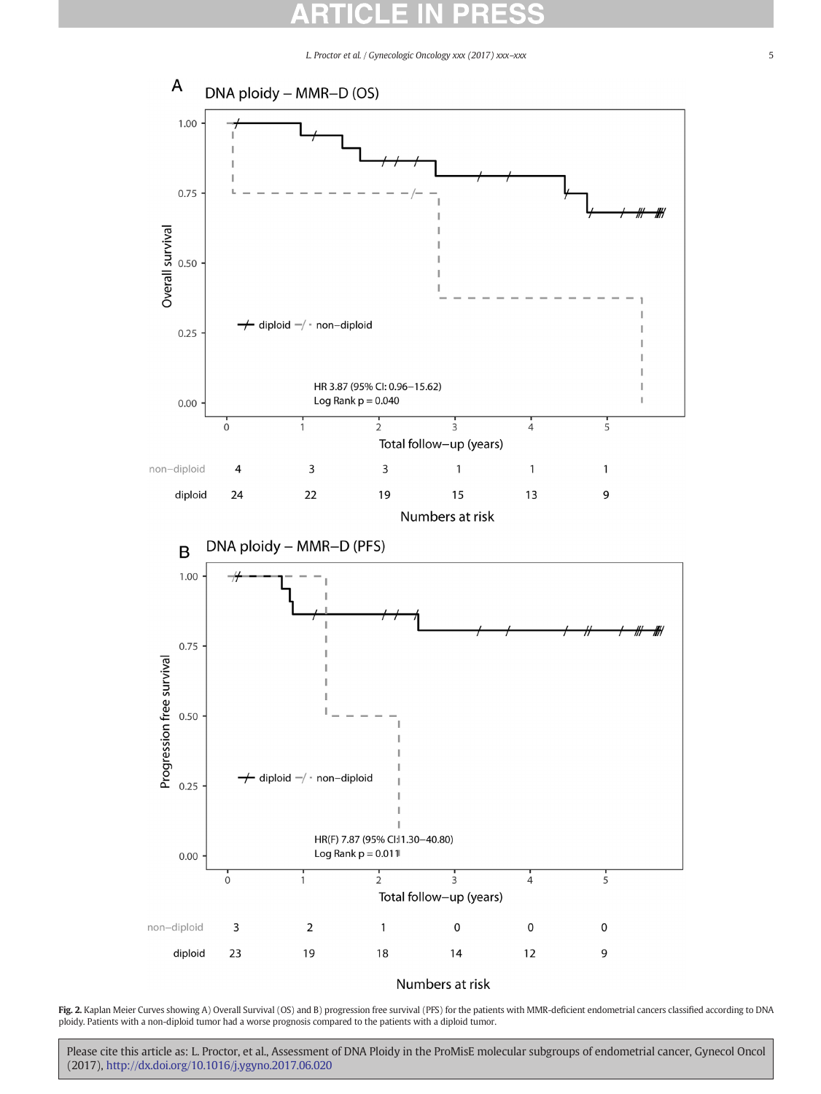<span id="page-4-0"></span>

### Numbers at risk

Fig. 2. Kaplan Meier Curves showing A) Overall Survival (OS) and B) progression free survival (PFS) for the patients with MMR-deficient endometrial cancers classified according to DNA ploidy. Patients with a non-diploid tumor had a worse prognosis compared to the patients with a diploid tumor.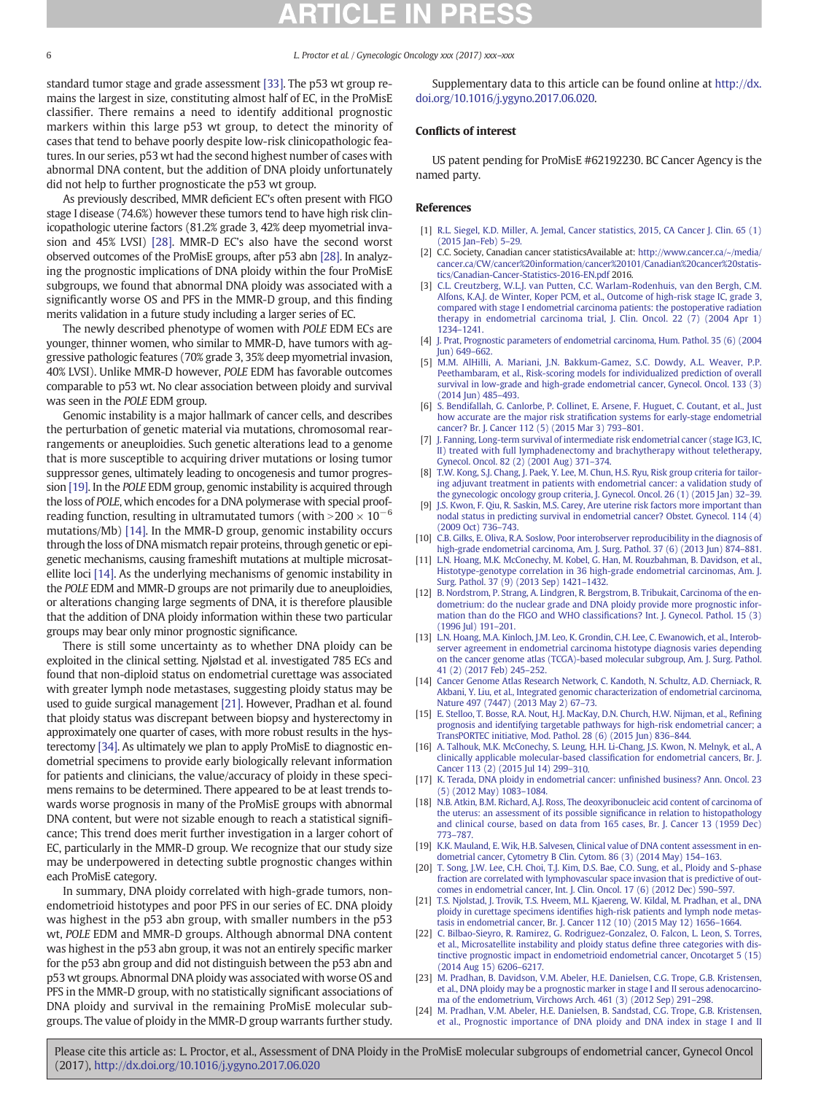<span id="page-5-0"></span>standard tumor stage and grade assessment [\[33\]](#page-6-0). The p53 wt group remains the largest in size, constituting almost half of EC, in the ProMisE classifier. There remains a need to identify additional prognostic markers within this large p53 wt group, to detect the minority of cases that tend to behave poorly despite low-risk clinicopathologic features. In our series, p53 wt had the second highest number of cases with abnormal DNA content, but the addition of DNA ploidy unfortunately did not help to further prognosticate the p53 wt group.

As previously described, MMR deficient EC's often present with FIGO stage I disease (74.6%) however these tumors tend to have high risk clinicopathologic uterine factors (81.2% grade 3, 42% deep myometrial invasion and 45% LVSI) [\[28\].](#page-6-0) MMR-D EC's also have the second worst observed outcomes of the ProMisE groups, after p53 abn [\[28\]](#page-6-0). In analyzing the prognostic implications of DNA ploidy within the four ProMisE subgroups, we found that abnormal DNA ploidy was associated with a significantly worse OS and PFS in the MMR-D group, and this finding merits validation in a future study including a larger series of EC.

The newly described phenotype of women with POLE EDM ECs are younger, thinner women, who similar to MMR-D, have tumors with aggressive pathologic features (70% grade 3, 35% deep myometrial invasion, 40% LVSI). Unlike MMR-D however, POLE EDM has favorable outcomes comparable to p53 wt. No clear association between ploidy and survival was seen in the POLE EDM group.

Genomic instability is a major hallmark of cancer cells, and describes the perturbation of genetic material via mutations, chromosomal rearrangements or aneuploidies. Such genetic alterations lead to a genome that is more susceptible to acquiring driver mutations or losing tumor suppressor genes, ultimately leading to oncogenesis and tumor progression [19]. In the POLE EDM group, genomic instability is acquired through the loss of POLE, which encodes for a DNA polymerase with special proofreading function, resulting in ultramutated tumors (with  $>$  200  $\times$  10<sup>-6</sup> mutations/Mb) [14]. In the MMR-D group, genomic instability occurs through the loss of DNA mismatch repair proteins, through genetic or epigenetic mechanisms, causing frameshift mutations at multiple microsatellite loci [14]. As the underlying mechanisms of genomic instability in the POLE EDM and MMR-D groups are not primarily due to aneuploidies, or alterations changing large segments of DNA, it is therefore plausible that the addition of DNA ploidy information within these two particular groups may bear only minor prognostic significance.

There is still some uncertainty as to whether DNA ploidy can be exploited in the clinical setting. Njølstad et al. investigated 785 ECs and found that non-diploid status on endometrial curettage was associated with greater lymph node metastases, suggesting ploidy status may be used to guide surgical management [21]. However, Pradhan et al. found that ploidy status was discrepant between biopsy and hysterectomy in approximately one quarter of cases, with more robust results in the hysterectomy [\[34\]](#page-6-0). As ultimately we plan to apply ProMisE to diagnostic endometrial specimens to provide early biologically relevant information for patients and clinicians, the value/accuracy of ploidy in these specimens remains to be determined. There appeared to be at least trends towards worse prognosis in many of the ProMisE groups with abnormal DNA content, but were not sizable enough to reach a statistical significance; This trend does merit further investigation in a larger cohort of EC, particularly in the MMR-D group. We recognize that our study size may be underpowered in detecting subtle prognostic changes within each ProMisE category.

In summary, DNA ploidy correlated with high-grade tumors, nonendometrioid histotypes and poor PFS in our series of EC. DNA ploidy was highest in the p53 abn group, with smaller numbers in the p53 wt, POLE EDM and MMR-D groups. Although abnormal DNA content was highest in the p53 abn group, it was not an entirely specific marker for the p53 abn group and did not distinguish between the p53 abn and p53 wt groups. Abnormal DNA ploidy was associated with worse OS and PFS in the MMR-D group, with no statistically significant associations of DNA ploidy and survival in the remaining ProMisE molecular subgroups. The value of ploidy in the MMR-D group warrants further study.

Supplementary data to this article can be found online at [http://dx.](doi:10.1016/j.ygyno.2017.06.020) [doi.org/10.1016/j.ygyno.2017.06.020](doi:10.1016/j.ygyno.2017.06.020).

### Conflicts of interest

US patent pending for ProMisE #62192230. BC Cancer Agency is the named party.

### References

- [1] [R.L. Siegel, K.D. Miller, A. Jemal, Cancer statistics, 2015, CA Cancer J. Clin. 65 \(1\)](http://refhub.elsevier.com/S0090-8258(17)30961-7/rf0005) [\(2015 Jan](http://refhub.elsevier.com/S0090-8258(17)30961-7/rf0005)–Feb) 5–29.
- [2] C.C. Society, Canadian cancer statisticsAvailable at: [http://www.cancer.ca/~/media/](http://www.cancer.ca/~/media/cancer.ca/CW/cancer%20information/cancer%20101/Canadian%20cancer%20statistics/Canadian-Cancer-Statistics-2016-EN.pdf) [cancer.ca/CW/cancer%20information/cancer%20101/Canadian%20cancer%20statis](http://www.cancer.ca/~/media/cancer.ca/CW/cancer%20information/cancer%20101/Canadian%20cancer%20statistics/Canadian-Cancer-Statistics-2016-EN.pdf)[tics/Canadian-Cancer-Statistics-2016-EN.pdf](http://www.cancer.ca/~/media/cancer.ca/CW/cancer%20information/cancer%20101/Canadian%20cancer%20statistics/Canadian-Cancer-Statistics-2016-EN.pdf) 2016.
- [3] [C.L. Creutzberg, W.L.J. van Putten, C.C. Warlam-Rodenhuis, van den Bergh, C.M.](http://refhub.elsevier.com/S0090-8258(17)30961-7/rf0015) [Alfons, K.A.J. de Winter, Koper PCM, et al., Outcome of high-risk stage IC, grade 3,](http://refhub.elsevier.com/S0090-8258(17)30961-7/rf0015) [compared with stage I endometrial carcinoma patients: the postoperative radiation](http://refhub.elsevier.com/S0090-8258(17)30961-7/rf0015) [therapy in endometrial carcinoma trial, J. Clin. Oncol. 22 \(7\) \(2004 Apr 1\)](http://refhub.elsevier.com/S0090-8258(17)30961-7/rf0015) 1234–[1241.](http://refhub.elsevier.com/S0090-8258(17)30961-7/rf0015)
- [4] [J. Prat, Prognostic parameters of endometrial carcinoma, Hum. Pathol. 35 \(6\) \(2004](http://refhub.elsevier.com/S0090-8258(17)30961-7/rf0020) [Jun\) 649](http://refhub.elsevier.com/S0090-8258(17)30961-7/rf0020)–662.
- [5] [M.M. AlHilli, A. Mariani, J.N. Bakkum-Gamez, S.C. Dowdy, A.L. Weaver, P.P.](http://refhub.elsevier.com/S0090-8258(17)30961-7/rf0025) [Peethambaram, et al., Risk-scoring models for individualized prediction of overall](http://refhub.elsevier.com/S0090-8258(17)30961-7/rf0025) [survival in low-grade and high-grade endometrial cancer, Gynecol. Oncol. 133 \(3\)](http://refhub.elsevier.com/S0090-8258(17)30961-7/rf0025) [\(2014 Jun\) 485](http://refhub.elsevier.com/S0090-8258(17)30961-7/rf0025)–493.
- [6] [S. Bendifallah, G. Canlorbe, P. Collinet, E. Arsene, F. Huguet, C. Coutant, et al., Just](http://refhub.elsevier.com/S0090-8258(17)30961-7/rf0030) how accurate are the major risk stratifi[cation systems for early-stage endometrial](http://refhub.elsevier.com/S0090-8258(17)30961-7/rf0030) [cancer? Br. J. Cancer 112 \(5\) \(2015 Mar 3\) 793](http://refhub.elsevier.com/S0090-8258(17)30961-7/rf0030)–801.
- [7] [J. Fanning, Long-term survival of intermediate risk endometrial cancer \(stage IG3, IC,](http://refhub.elsevier.com/S0090-8258(17)30961-7/rf0035) [II\) treated with full lymphadenectomy and brachytherapy without teletherapy,](http://refhub.elsevier.com/S0090-8258(17)30961-7/rf0035) [Gynecol. Oncol. 82 \(2\) \(2001 Aug\) 371](http://refhub.elsevier.com/S0090-8258(17)30961-7/rf0035)–374.
- [8] [T.W. Kong, S.J. Chang, J. Paek, Y. Lee, M. Chun, H.S. Ryu, Risk group criteria for tailor](http://refhub.elsevier.com/S0090-8258(17)30961-7/rf0040)[ing adjuvant treatment in patients with endometrial cancer: a validation study of](http://refhub.elsevier.com/S0090-8258(17)30961-7/rf0040) [the gynecologic oncology group criteria, J. Gynecol. Oncol. 26 \(1\) \(2015 Jan\) 32](http://refhub.elsevier.com/S0090-8258(17)30961-7/rf0040)–39.
- [J.S. Kwon, F. Qiu, R. Saskin, M.S. Carey, Are uterine risk factors more important than](http://refhub.elsevier.com/S0090-8258(17)30961-7/rf0045) [nodal status in predicting survival in endometrial cancer? Obstet. Gynecol. 114 \(4\)](http://refhub.elsevier.com/S0090-8258(17)30961-7/rf0045) [\(2009 Oct\) 736](http://refhub.elsevier.com/S0090-8258(17)30961-7/rf0045)–743.
- [10] [C.B. Gilks, E. Oliva, R.A. Soslow, Poor interobserver reproducibility in the diagnosis of](http://refhub.elsevier.com/S0090-8258(17)30961-7/rf0050) [high-grade endometrial carcinoma, Am. J. Surg. Pathol. 37 \(6\) \(2013 Jun\) 874](http://refhub.elsevier.com/S0090-8258(17)30961-7/rf0050)–881.
- [11] [L.N. Hoang, M.K. McConechy, M. Kobel, G. Han, M. Rouzbahman, B. Davidson, et al.,](http://refhub.elsevier.com/S0090-8258(17)30961-7/rf0055) [Histotype-genotype correlation in 36 high-grade endometrial carcinomas, Am. J.](http://refhub.elsevier.com/S0090-8258(17)30961-7/rf0055) [Surg. Pathol. 37 \(9\) \(2013 Sep\) 1421](http://refhub.elsevier.com/S0090-8258(17)30961-7/rf0055)–1432.
- [12] [B. Nordstrom, P. Strang, A. Lindgren, R. Bergstrom, B. Tribukait, Carcinoma of the en](http://refhub.elsevier.com/S0090-8258(17)30961-7/rf0060)[dometrium: do the nuclear grade and DNA ploidy provide more prognostic infor](http://refhub.elsevier.com/S0090-8258(17)30961-7/rf0060)[mation than do the FIGO and WHO classi](http://refhub.elsevier.com/S0090-8258(17)30961-7/rf0060)fications? Int. J. Gynecol. Pathol. 15 (3) [\(1996 Jul\) 191](http://refhub.elsevier.com/S0090-8258(17)30961-7/rf0060)–201.
- [13] [L.N. Hoang, M.A. Kinloch, J.M. Leo, K. Grondin, C.H. Lee, C. Ewanowich, et al., Interob](http://refhub.elsevier.com/S0090-8258(17)30961-7/rf0065)[server agreement in endometrial carcinoma histotype diagnosis varies depending](http://refhub.elsevier.com/S0090-8258(17)30961-7/rf0065) [on the cancer genome atlas \(TCGA\)-based molecular subgroup, Am. J. Surg. Pathol.](http://refhub.elsevier.com/S0090-8258(17)30961-7/rf0065) [41 \(2\) \(2017 Feb\) 245](http://refhub.elsevier.com/S0090-8258(17)30961-7/rf0065)–252.
- [14] [Cancer Genome Atlas Research Network, C. Kandoth, N. Schultz, A.D. Cherniack, R.](http://refhub.elsevier.com/S0090-8258(17)30961-7/rf0070) [Akbani, Y. Liu, et al., Integrated genomic characterization of endometrial carcinoma,](http://refhub.elsevier.com/S0090-8258(17)30961-7/rf0070) [Nature 497 \(7447\) \(2013 May 2\) 67](http://refhub.elsevier.com/S0090-8258(17)30961-7/rf0070)–73.
- [15] [E. Stelloo, T. Bosse, R.A. Nout, H.J. MacKay, D.N. Church, H.W. Nijman, et al., Re](http://refhub.elsevier.com/S0090-8258(17)30961-7/rf0075)fining [prognosis and identifying targetable pathways for high-risk endometrial cancer; a](http://refhub.elsevier.com/S0090-8258(17)30961-7/rf0075) [TransPORTEC initiative, Mod. Pathol. 28 \(6\) \(2015 Jun\) 836](http://refhub.elsevier.com/S0090-8258(17)30961-7/rf0075)–844.
- [16] [A. Talhouk, M.K. McConechy, S. Leung, H.H. Li-Chang, J.S. Kwon, N. Melnyk, et al., A](http://refhub.elsevier.com/S0090-8258(17)30961-7/rf0080) [clinically applicable molecular-based classi](http://refhub.elsevier.com/S0090-8258(17)30961-7/rf0080)fication for endometrial cancers, Br. J. [Cancer 113 \(2\) \(2015 Jul 14\) 299](http://refhub.elsevier.com/S0090-8258(17)30961-7/rf0080)–310.
- [17] [K. Terada, DNA ploidy in endometrial cancer: un](http://refhub.elsevier.com/S0090-8258(17)30961-7/rf0085)finished business? Ann. Oncol. 23 [\(5\) \(2012 May\) 1083](http://refhub.elsevier.com/S0090-8258(17)30961-7/rf0085)–1084.
- [18] [N.B. Atkin, B.M. Richard, A.J. Ross, The deoxyribonucleic acid content of carcinoma of](http://refhub.elsevier.com/S0090-8258(17)30961-7/rf0090) [the uterus: an assessment of its possible signi](http://refhub.elsevier.com/S0090-8258(17)30961-7/rf0090)ficance in relation to histopathology [and clinical course, based on data from 165 cases, Br. J. Cancer 13 \(1959 Dec\)](http://refhub.elsevier.com/S0090-8258(17)30961-7/rf0090) [773](http://refhub.elsevier.com/S0090-8258(17)30961-7/rf0090)–787.
- [19] [K.K. Mauland, E. Wik, H.B. Salvesen, Clinical value of DNA content assessment in en](http://refhub.elsevier.com/S0090-8258(17)30961-7/rf0095)[dometrial cancer, Cytometry B Clin. Cytom. 86 \(3\) \(2014 May\) 154](http://refhub.elsevier.com/S0090-8258(17)30961-7/rf0095)–163.
- [20] [T. Song, J.W. Lee, C.H. Choi, T.J. Kim, D.S. Bae, C.O. Sung, et al., Ploidy and S-phase](http://refhub.elsevier.com/S0090-8258(17)30961-7/rf0100) [fraction are correlated with lymphovascular space invasion that is predictive of out](http://refhub.elsevier.com/S0090-8258(17)30961-7/rf0100)[comes in endometrial cancer, Int. J. Clin. Oncol. 17 \(6\) \(2012 Dec\) 590](http://refhub.elsevier.com/S0090-8258(17)30961-7/rf0100)–597.
- [21] [T.S. Njolstad, J. Trovik, T.S. Hveem, M.L. Kjaereng, W. Kildal, M. Pradhan, et al., DNA](http://refhub.elsevier.com/S0090-8258(17)30961-7/rf0105) ploidy in curettage specimens identifi[es high-risk patients and lymph node metas](http://refhub.elsevier.com/S0090-8258(17)30961-7/rf0105)[tasis in endometrial cancer, Br. J. Cancer 112 \(10\) \(2015 May 12\) 1656](http://refhub.elsevier.com/S0090-8258(17)30961-7/rf0105)–1664.
- [22] [C. Bilbao-Sieyro, R. Ramirez, G. Rodriguez-Gonzalez, O. Falcon, L. Leon, S. Torres,](http://refhub.elsevier.com/S0090-8258(17)30961-7/rf0110) [et al., Microsatellite instability and ploidy status de](http://refhub.elsevier.com/S0090-8258(17)30961-7/rf0110)fine three categories with dis[tinctive prognostic impact in endometrioid endometrial cancer, Oncotarget 5 \(15\)](http://refhub.elsevier.com/S0090-8258(17)30961-7/rf0110) [\(2014 Aug 15\) 6206](http://refhub.elsevier.com/S0090-8258(17)30961-7/rf0110)–6217.
- [23] [M. Pradhan, B. Davidson, V.M. Abeler, H.E. Danielsen, C.G. Trope, G.B. Kristensen,](http://refhub.elsevier.com/S0090-8258(17)30961-7/rf0115) [et al., DNA ploidy may be a prognostic marker in stage I and II serous adenocarcino](http://refhub.elsevier.com/S0090-8258(17)30961-7/rf0115)[ma of the endometrium, Virchows Arch. 461 \(3\) \(2012 Sep\) 291](http://refhub.elsevier.com/S0090-8258(17)30961-7/rf0115)–298.
- [24] [M. Pradhan, V.M. Abeler, H.E. Danielsen, B. Sandstad, C.G. Trope, G.B. Kristensen,](http://refhub.elsevier.com/S0090-8258(17)30961-7/rf0120) [et al., Prognostic importance of DNA ploidy and DNA index in stage I and II](http://refhub.elsevier.com/S0090-8258(17)30961-7/rf0120)